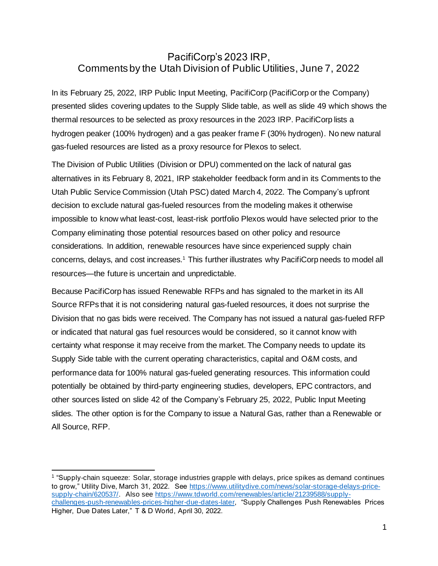## PacifiCorp's 2023 IRP, Comments by the Utah Division of Public Utilities, June 7, 2022

In its February 25, 2022, IRP Public Input Meeting, PacifiCorp (PacifiCorp or the Company) presented slides covering updates to the Supply Slide table, as well as slide 49 which shows the thermal resources to be selected as proxy resources in the 2023 IRP. PacifiCorp lists a hydrogen peaker (100% hydrogen) and a gas peaker frame F (30% hydrogen). No new natural gas-fueled resources are listed as a proxy resource for Plexos to select.

The Division of Public Utilities (Division or DPU) commented on the lack of natural gas alternatives in its February 8, 2021, IRP stakeholder feedback form and in its Comments to the Utah Public Service Commission (Utah PSC) dated March 4, 2022. The Company's upfront decision to exclude natural gas-fueled resources from the modeling makes it otherwise impossible to know what least-cost, least-risk portfolio Plexos would have selected prior to the Company eliminating those potential resources based on other policy and resource considerations. In addition, renewable resources have since experienced supply chain concerns, delays, and cost increases.<sup>1</sup> This further illustrates why PacifiCorp needs to model all resources—the future is uncertain and unpredictable.

Because PacifiCorp has issued Renewable RFPs and has signaled to the market in its All Source RFPs that it is not considering natural gas-fueled resources, it does not surprise the Division that no gas bids were received. The Company has not issued a natural gas-fueled RFP or indicated that natural gas fuel resources would be considered, so it cannot know with certainty what response it may receive from the market. The Company needs to update its Supply Side table with the current operating characteristics, capital and O&M costs, and performance data for 100% natural gas-fueled generating resources. This information could potentially be obtained by third-party engineering studies, developers, EPC contractors, and other sources listed on slide 42 of the Company's February 25, 2022, Public Input Meeting slides. The other option is for the Company to issue a Natural Gas, rather than a Renewable or All Source, RFP.

<sup>1</sup> "Supply-chain squeeze: Solar, storage industries grapple with delays, price spikes as demand continues to grow," Utility Dive, March 31, 2022. See [https://www.utilitydive.com/news/solar-storage-delays-price](https://www.utilitydive.com/news/solar-storage-delays-price-supply-chain/620537/)[supply-chain/620537/.](https://www.utilitydive.com/news/solar-storage-delays-price-supply-chain/620537/) Also se[e https://www.tdworld.com/renewables/article/21239588/supply](https://www.tdworld.com/renewables/article/21239588/supply-challenges-push-renewables-prices-higher-due-dates-later)[challenges-push-renewables-prices-higher-due-dates-later,](https://www.tdworld.com/renewables/article/21239588/supply-challenges-push-renewables-prices-higher-due-dates-later) "Supply Challenges Push Renewables Prices Higher, Due Dates Later," T & D World, April 30, 2022.